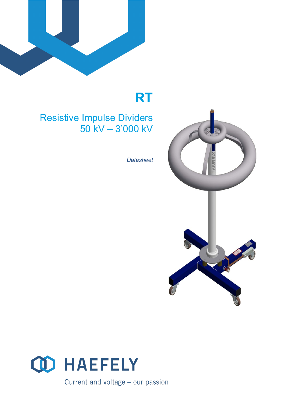

**RT**

# Resistive Impulse Dividers 50 kV – 3'000 kV

*Datasheet*



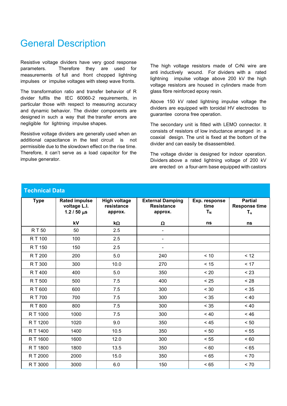## General Description

Resistive voltage dividers have very good response parameters. Therefore they are used for measurements of full and front chopped lightning impulses or impulse voltages with steep wave fronts.

The transformation ratio and transfer behavior of R divider fulfils the IEC 60060-2 requirements, in particular those with respect to measuring accuracy and dynamic behavior. The divider components are designed in such a way that the transfer errors are negligible for lightning impulse shapes.

Resistive voltage dividers are generally used when an additional capacitance in the test circuit is not permissible due to the slowdown effect on the rise time. Therefore, it can't serve as a load capacitor for the impulse generator.

The high voltage resistors made of CrNi wire are anti inductively wound. For dividers with a rated lightning impulse voltage above 200 kV the high voltage resistors are housed in cylinders made from glass fibre reinforced epoxy resin.

Above 150 kV rated lightning impulse voltage the dividers are equipped with toroidal HV electrodes to guarantee corona free operation.

The secondary unit is fitted with LEMO connector. It consists of resistors of low inductance arranged in a coaxial design. The unit is fixed at the bottom of the divider and can easily be disassembled.

The voltage divider is designed for indoor operation. Dividers above a rated lightning voltage of 200 kV are erected on a four-arm base equipped with castors

| <b>Technical Data</b> |                                                            |                                              |                                                                                                    |        |                                                               |  |  |  |
|-----------------------|------------------------------------------------------------|----------------------------------------------|----------------------------------------------------------------------------------------------------|--------|---------------------------------------------------------------|--|--|--|
| <b>Type</b>           | <b>Rated impulse</b><br>voltage L.I.<br>$1.2 / 50 \,\mu s$ | <b>High voltage</b><br>resistance<br>approx. | <b>External Damping</b><br>Exp. response<br>time<br><b>Resistance</b><br>T <sub>N</sub><br>approx. |        | <b>Partial</b><br><b>Response time</b><br>$\mathsf{T}_\alpha$ |  |  |  |
|                       | kV                                                         | $k\Omega$                                    | Ω                                                                                                  | ns     | ns                                                            |  |  |  |
| R T 50                | 50                                                         | 2.5                                          | $\frac{1}{2}$                                                                                      |        |                                                               |  |  |  |
| R T 100               | 100                                                        | 2.5                                          | $\overline{\phantom{a}}$                                                                           |        |                                                               |  |  |  |
| R T 150               | 150                                                        | 2.5                                          |                                                                                                    |        |                                                               |  |  |  |
| R T 200               | 200                                                        | 5.0                                          | 240                                                                                                | < 10   | < 12                                                          |  |  |  |
| R T 300               | 300                                                        | 10.0                                         | 270                                                                                                | < 15   | < 17                                                          |  |  |  |
| R T 400               | 400                                                        | 5.0                                          | 350                                                                                                | < 20   | < 23                                                          |  |  |  |
| R T 500               | 500                                                        | 7.5                                          | 400                                                                                                | < 25   | < 28                                                          |  |  |  |
| R T 600               | 600                                                        | 7.5                                          | 300                                                                                                | < 30   | < 35                                                          |  |  |  |
| R T 700               | 700                                                        | 7.5                                          | 300                                                                                                | $< 35$ | $~<$ 40                                                       |  |  |  |
| R T 800               | 800                                                        | 7.5                                          | 300                                                                                                | < 35   | $~<$ 40                                                       |  |  |  |
| R T 1000              | 1000                                                       | 7.5                                          | 300                                                                                                | ~10    | ~16                                                           |  |  |  |
| R T 1200              | 1020                                                       | 9.0                                          | 350                                                                                                | < 45   | < 50                                                          |  |  |  |
| R T 1400              | 1400                                                       | 10.5                                         | 350                                                                                                | < 50   | < 55                                                          |  |  |  |
| R T 1600              | 1600                                                       | 12.0                                         | 300                                                                                                | < 55   | ~< 60                                                         |  |  |  |
| R T 1800              | 1800                                                       | 13.5                                         | 350                                                                                                | ~< 60  | < 65                                                          |  |  |  |
| RT 2000               | 2000                                                       | 15.0                                         | 350                                                                                                | < 65   | < 70                                                          |  |  |  |
| R T 3000              | 3000                                                       | 6.0                                          | 150                                                                                                | < 65   | < 70                                                          |  |  |  |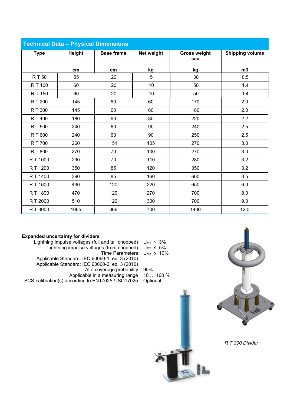| <b>Technical Data - Physical Dimensions</b> |               |                   |            |                            |                        |  |  |  |
|---------------------------------------------|---------------|-------------------|------------|----------------------------|------------------------|--|--|--|
| <b>Type</b>                                 | <b>Height</b> | <b>Base frame</b> | Net weight | <b>Gross weight</b><br>sea | <b>Shipping volume</b> |  |  |  |
|                                             | cm            | cm                | kg         | kg                         | m3                     |  |  |  |
| R T 50                                      | 55            | 20                | 5          | 30                         | 0.5                    |  |  |  |
| R T 100                                     | 60            | 20                | $10$       | 50                         | 1.4                    |  |  |  |
| R T 150                                     | 60            | 20                | 10         | 50                         | 1.4                    |  |  |  |
| R T 200                                     | 145           | 60                | 60         | 170                        | 2.0                    |  |  |  |
| R T 300                                     | 145           | 60                | 60         | 180                        | 2.0                    |  |  |  |
| R T 400                                     | 180           | 60                | 80         | 220                        | 2.2                    |  |  |  |
| R T 500                                     | 240           | 60                | 90         | 240                        | 2.5                    |  |  |  |
| R T 600                                     | 240           | 60                | 90         | 250                        | 2.5                    |  |  |  |
| R T 700                                     | 260           | 151               | 105        | 270                        | 3.0                    |  |  |  |
| R T 800                                     | 270           | 70                | 100        | 270                        | 3.0                    |  |  |  |
| R T 1000                                    | 290           | 70                | 110        | 280                        | 3.2                    |  |  |  |
| R T 1200                                    | 350           | 85                | 120        | 350                        | 3.2                    |  |  |  |
| R T 1400                                    | 390           | 85                | 160        | 600                        | 3.5                    |  |  |  |
| R T 1600                                    | 430           | 120               | 220        | 650                        | 6.0                    |  |  |  |
| RT 1800                                     | 470           | 120               | 270        | 700                        | 8.0                    |  |  |  |
| RT 2000                                     | 510           | 120               | 300        | 700                        | 9.0                    |  |  |  |
| R T 3000                                    | 1065          | 366               | 700        | 1400                       | 12.0                   |  |  |  |

### **Expanded uncertainty for dividers**

Lightning impulse voltages (full and tail chopped) U<sub>M1</sub> ≤ 3%<br>Lightning impulse voltages (front chopped) U<sub>M2</sub> ≤ 5% Lightning impulse voltages (front chopped) U<sub>M2</sub> ≤ 5%<br>Time Parameters U<sub>M3</sub> ≤ 10% Time Parameters Applicable Standard: IEC 60060-1, ed. 3 (2010) Applicable Standard: IEC 60060-2, ed. 3 (2010) At a coverage probability Applicable in a measuring range SCS-calibration(s) according to EN17025 / ISO17025 95%

10 … 100 % Optional



*R T 300 Divider*